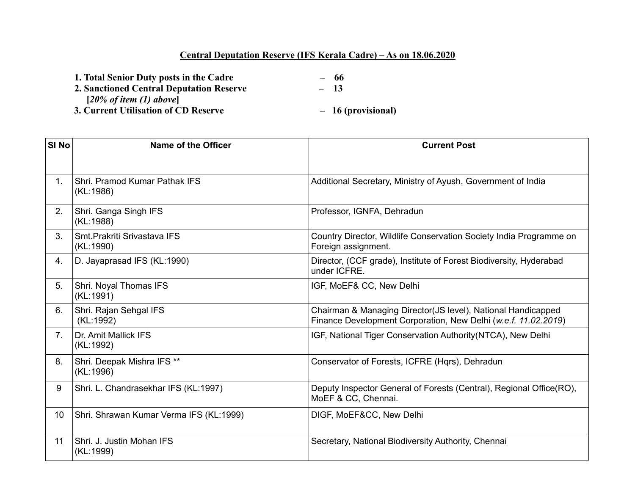## **Central Deputation Reserve (IFS Kerala Cadre) – As on 18.06.2020**

| 1. Total Senior Duty posts in the Cadre         | - 66               |
|-------------------------------------------------|--------------------|
| <b>2. Sanctioned Central Deputation Reserve</b> | $-13$              |
| $[20\% \text{ of item } (1) \text{ above}]$     |                    |
| 3. Current Utilisation of CD Reserve            | - 16 (provisional) |
|                                                 |                    |

| SI <sub>No</sub> | Name of the Officer                        | <b>Current Post</b>                                                                                                            |
|------------------|--------------------------------------------|--------------------------------------------------------------------------------------------------------------------------------|
|                  |                                            |                                                                                                                                |
| 1.               | Shri, Pramod Kumar Pathak IFS<br>(KL:1986) | Additional Secretary, Ministry of Ayush, Government of India                                                                   |
| 2.               | Shri. Ganga Singh IFS<br>(KL:1988)         | Professor, IGNFA, Dehradun                                                                                                     |
| 3.               | Smt. Prakriti Srivastava IFS<br>(KL:1990)  | Country Director, Wildlife Conservation Society India Programme on<br>Foreign assignment.                                      |
| 4.               | D. Jayaprasad IFS (KL:1990)                | Director, (CCF grade), Institute of Forest Biodiversity, Hyderabad<br>under ICFRE.                                             |
| 5.               | Shri. Noyal Thomas IFS<br>(KL:1991)        | IGF, MoEF& CC, New Delhi                                                                                                       |
| 6.               | Shri. Rajan Sehgal IFS<br>(KL:1992)        | Chairman & Managing Director(JS level), National Handicapped<br>Finance Development Corporation, New Delhi (w.e.f. 11.02.2019) |
| 7 <sub>1</sub>   | Dr. Amit Mallick IFS<br>(KL:1992)          | IGF, National Tiger Conservation Authority (NTCA), New Delhi                                                                   |
| 8.               | Shri. Deepak Mishra IFS **<br>(KL:1996)    | Conservator of Forests, ICFRE (Hqrs), Dehradun                                                                                 |
| 9                | Shri. L. Chandrasekhar IFS (KL:1997)       | Deputy Inspector General of Forests (Central), Regional Office(RO),<br>MoEF & CC, Chennai.                                     |
| 10               | Shri. Shrawan Kumar Verma IFS (KL:1999)    | DIGF, MoEF&CC, New Delhi                                                                                                       |
| 11               | Shri. J. Justin Mohan IFS<br>(KL:1999)     | Secretary, National Biodiversity Authority, Chennai                                                                            |